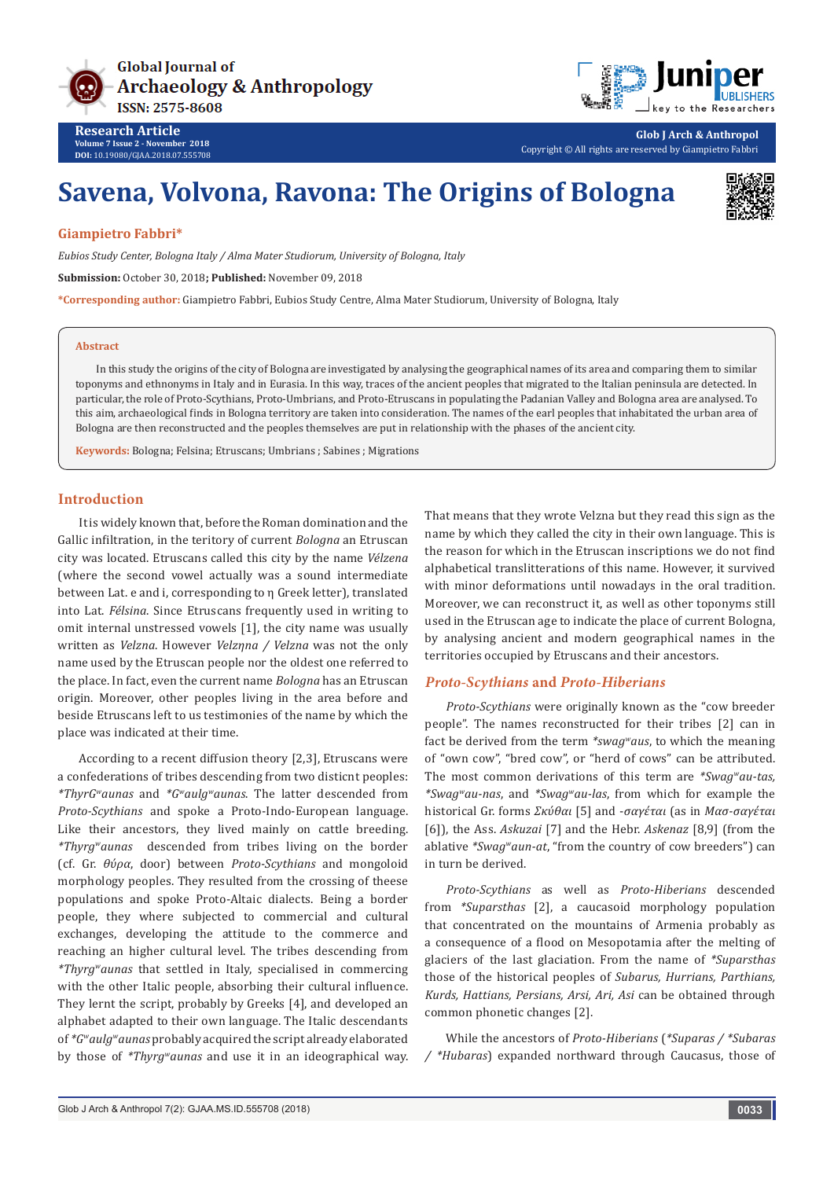



**Glob J Arch & Anthropol** Copyright © All rights are reserved by Giampietro Fabbri

# **Savena, Volvona, Ravona: The Origins of Bologna**



## **Giampietro Fabbri\***

**Research Article Volume 7 Issue 2 - November 2018 DOI:** [10.19080/GJAA.2018.07.555708](http://dx.doi.org/10.19080/GJAA.2018.07.555708)

*Eubios Study Center, Bologna Italy / Alma Mater Studiorum, University of Bologna, Italy*

**Submission:** October 30, 2018**; Published:** November 09, 2018

**\*Corresponding author:** Giampietro Fabbri, Eubios Study Centre, Alma Mater Studiorum, University of Bologna, Italy

#### **Abstract**

In this study the origins of the city of Bologna are investigated by analysing the geographical names of its area and comparing them to similar toponyms and ethnonyms in Italy and in Eurasia. In this way, traces of the ancient peoples that migrated to the Italian peninsula are detected. In particular, the role of Proto-Scythians, Proto-Umbrians, and Proto-Etruscans in populating the Padanian Valley and Bologna area are analysed. To this aim, archaeological finds in Bologna territory are taken into consideration. The names of the earl peoples that inhabitated the urban area of Bologna are then reconstructed and the peoples themselves are put in relationship with the phases of the ancient city.

**Keywords:** Bologna; Felsina; Etruscans; Umbrians ; Sabines ; Migrations

#### **Introduction**

It is widely known that, before the Roman domination and the Gallic infiltration, in the teritory of current *Bologna* an Etruscan city was located. Etruscans called this city by the name *Vélzena* (where the second vowel actually was a sound intermediate between Lat. e and i, corresponding to η Greek letter), translated into Lat. *Félsina*. Since Etruscans frequently used in writing to omit internal unstressed vowels [1], the city name was usually written as *Velzna*. However *Velzηna / Velzna* was not the only name used by the Etruscan people nor the oldest one referred to the place. In fact, even the current name *Bologna* has an Etruscan origin. Moreover, other peoples living in the area before and beside Etruscans left to us testimonies of the name by which the place was indicated at their time.

According to a recent diffusion theory [2,3], Etruscans were a confederations of tribes descending from two disticnt peoples: *\*ThyrGwaunas* and *\*Gwaulgwaunas*. The latter descended from *Proto-Scythians* and spoke a Proto-Indo-European language. Like their ancestors, they lived mainly on cattle breeding. *\*Thyrgwaunas* descended from tribes living on the border (cf. Gr. *θύρα*, door) between *Proto-Scythians* and mongoloid morphology peoples. They resulted from the crossing of theese populations and spoke Proto-Altaic dialects. Being a border people, they where subjected to commercial and cultural exchanges, developing the attitude to the commerce and reaching an higher cultural level. The tribes descending from *\*Thyrgwaunas* that settled in Italy, specialised in commercing with the other Italic people, absorbing their cultural influence. They lernt the script, probably by Greeks [4], and developed an alphabet adapted to their own language. The Italic descendants of *\*Gwaulgwaunas* probably acquired the script already elaborated by those of *\*Thyrgwaunas* and use it in an ideographical way. That means that they wrote Velzna but they read this sign as the name by which they called the city in their own language. This is the reason for which in the Etruscan inscriptions we do not find alphabetical translitterations of this name. However, it survived with minor deformations until nowadays in the oral tradition. Moreover, we can reconstruct it, as well as other toponyms still used in the Etruscan age to indicate the place of current Bologna, by analysing ancient and modern geographical names in the territories occupied by Etruscans and their ancestors.

# *Proto-Scythians* **and** *Proto-Hiberians*

*Proto-Scythians* were originally known as the "cow breeder people". The names reconstructed for their tribes [2] can in fact be derived from the term *\*swagwaus*, to which the meaning of "own cow", "bred cow", or "herd of cows" can be attributed. The most common derivations of this term are *\*Swagwau-tas, \*Swagwau-nas*, and *\*Swagwau-las*, from which for example the historical Gr. forms *Σκύθαι* [5] and -*σαγέται* (as in *Μασ-σαγέται*  [6]), the Ass. *Askuzai* [7] and the Hebr. *Askenaz* [8,9] (from the ablative *\*Swagwaun-at*, "from the country of cow breeders") can in turn be derived.

*Proto-Scythians* as well as *Proto-Hiberians* descended from *\*Suparsthas* [2], a caucasoid morphology population that concentrated on the mountains of Armenia probably as a consequence of a flood on Mesopotamia after the melting of glaciers of the last glaciation. From the name of *\*Suparsthas* those of the historical peoples of *Subarus, Hurrians, Parthians, Kurds, Hattians, Persians, Arsi, Ari, Asi* can be obtained through common phonetic changes [2].

While the ancestors of *Proto-Hiberians* (*\*Suparas / \*Subaras / \*Hubaras*) expanded northward through Caucasus, those of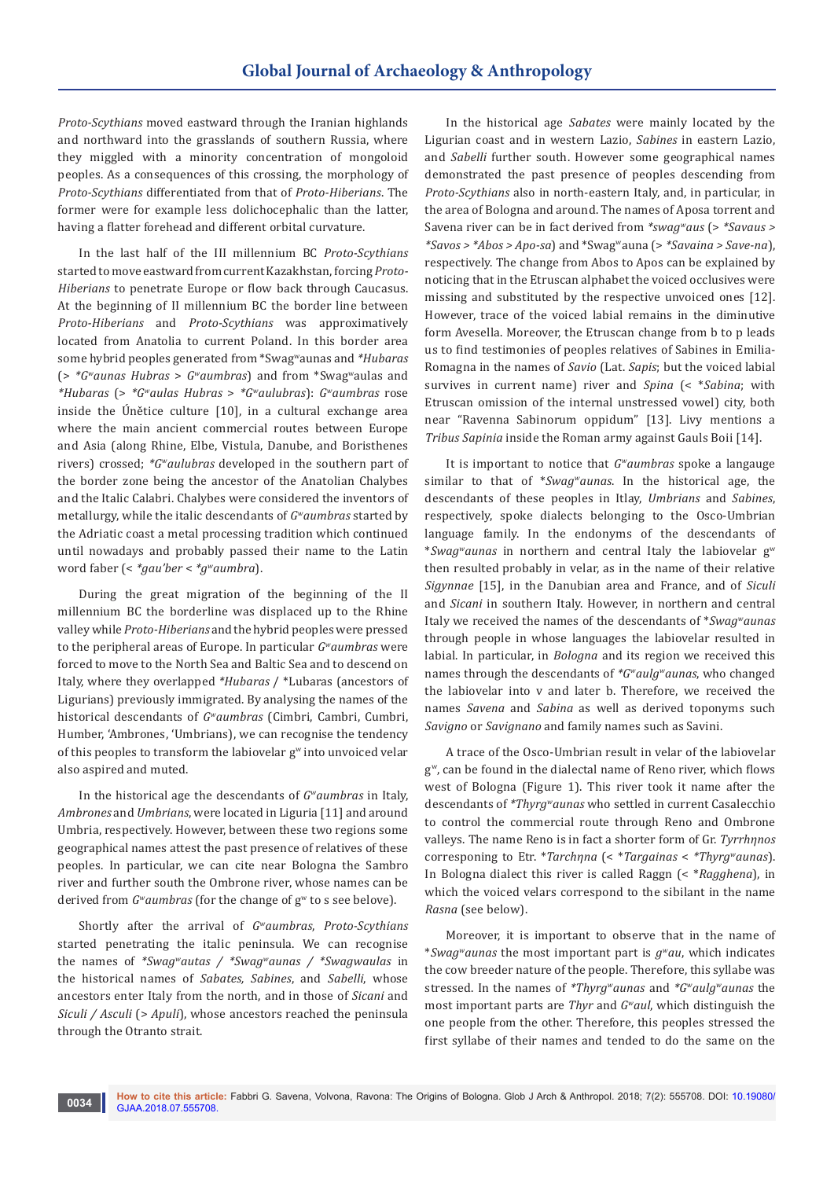*Proto-Scythians* moved eastward through the Iranian highlands and northward into the grasslands of southern Russia, where they miggled with a minority concentration of mongoloid peoples. As a consequences of this crossing, the morphology of *Proto-Scythians* differentiated from that of *Proto-Hiberians*. The former were for example less dolichocephalic than the latter, having a flatter forehead and different orbital curvature.

In the last half of the III millennium BC *Proto-Scythians* started to move eastward from current Kazakhstan, forcing *Proto-Hiberians* to penetrate Europe or flow back through Caucasus. At the beginning of II millennium BC the border line between *Proto-Hiberians* and *Proto-Scythians* was approximatively located from Anatolia to current Poland. In this border area some hybrid peoples generated from \*Swagwaunas and *\*Hubaras* (> *\*Gwaunas Hubras* > *Gwaumbras*) and from \*Swagwaulas and *\*Hubaras* (> *\*Gwaulas Hubras* > *\*Gwaulubras*): *Gwaumbras* rose inside the Únětice culture [10], in a cultural exchange area where the main ancient commercial routes between Europe and Asia (along Rhine, Elbe, Vistula, Danube, and Boristhenes rivers) crossed; *\*Gwaulubras* developed in the southern part of the border zone being the ancestor of the Anatolian Chalybes and the Italic Calabri. Chalybes were considered the inventors of metallurgy, while the italic descendants of *Gwaumbras* started by the Adriatic coast a metal processing tradition which continued until nowadays and probably passed their name to the Latin word faber (< *\*gau'ber* < *\*gwaumbra*).

During the great migration of the beginning of the II millennium BC the borderline was displaced up to the Rhine valley while *Proto-Hiberians* and the hybrid peoples were pressed to the peripheral areas of Europe. In particular *Gwaumbras* were forced to move to the North Sea and Baltic Sea and to descend on Italy, where they overlapped *\*Hubaras* / \*Lubaras (ancestors of Ligurians) previously immigrated. By analysing the names of the historical descendants of *Gwaumbras* (Cimbri, Cambri, Cumbri, Humber, 'Ambrones, 'Umbrians), we can recognise the tendency of this peoples to transform the labiovelar g<sup>w</sup> into unvoiced velar also aspired and muted.

In the historical age the descendants of *Gwaumbras* in Italy, *Ambrones* and *Umbrians*, were located in Liguria [11] and around Umbria, respectively. However, between these two regions some geographical names attest the past presence of relatives of these peoples. In particular, we can cite near Bologna the Sambro river and further south the Ombrone river, whose names can be derived from *G*<sup>*w*</sup>aumbras (for the change of g<sup>*w*</sup> to s see belove).

Shortly after the arrival of *Gwaumbras*, *Proto-Scythians* started penetrating the italic peninsula. We can recognise the names of *\*Swagwautas / \*Swagwaunas / \*Swagwaulas* in the historical names of *Sabates, Sabines*, and *Sabelli*, whose ancestors enter Italy from the north, and in those of *Sicani* and *Siculi / Asculi (> Apuli)*, whose ancestors reached the peninsula through the Otranto strait.

In the historical age *Sabates* were mainly located by the Ligurian coast and in western Lazio, *Sabines* in eastern Lazio, and *Sabelli* further south. However some geographical names demonstrated the past presence of peoples descending from *Proto-Scythians* also in north-eastern Italy, and, in particular, in the area of Bologna and around. The names of Aposa torrent and Savena river can be in fact derived from *\*swagwaus* (> *\*Savaus > \*Savos > \*Abos > Apo-sa*) and \*Swagwauna (> *\*Savaina > Save-na*), respectively. The change from Abos to Apos can be explained by noticing that in the Etruscan alphabet the voiced occlusives were missing and substituted by the respective unvoiced ones [12]. However, trace of the voiced labial remains in the diminutive form Avesella. Moreover, the Etruscan change from b to p leads us to find testimonies of peoples relatives of Sabines in Emilia-Romagna in the names of *Savio* (Lat. *Sapis*; but the voiced labial survives in current name) river and *Spina* (< \**Sabina*; with Etruscan omission of the internal unstressed vowel) city, both near "Ravenna Sabinorum oppidum" [13]. Livy mentions a *Tribus Sapinia* inside the Roman army against Gauls Boii [14].

It is important to notice that *Gwaumbras* spoke a langauge similar to that of \**Swagwaunas*. In the historical age, the descendants of these peoples in Itlay, *Umbrians* and *Sabines*, respectively, spoke dialects belonging to the Osco-Umbrian language family. In the endonyms of the descendants of \**Swagwaunas* in northern and central Italy the labiovelar g<sup>w</sup> then resulted probably in velar, as in the name of their relative *Sigynnae* [15], in the Danubian area and France, and of *Siculi* and *Sicani* in southern Italy. However, in northern and central Italy we received the names of the descendants of \**Swagwaunas* through people in whose languages the labiovelar resulted in labial. In particular, in *Bologna* and its region we received this names through the descendants of *\*Gwaulgwaunas*, who changed the labiovelar into v and later b. Therefore, we received the names *Savena* and *Sabina* as well as derived toponyms such *Savigno* or *Savignano* and family names such as Savini.

A trace of the Osco-Umbrian result in velar of the labiovelar g<sup>w</sup>, can be found in the dialectal name of Reno river, which flows west of Bologna (Figure 1). This river took it name after the descendants of *\*Thyrgwaunas* who settled in current Casalecchio to control the commercial route through Reno and Ombrone valleys. The name Reno is in fact a shorter form of Gr. *Tyrrhηnos* corresponing to Etr. \**Tarchηna* (< \**Targainas* < *\*Thyrgwaunas*). In Bologna dialect this river is called Raggn (< \**Ragghena*), in which the voiced velars correspond to the sibilant in the name *Rasna* (see below).

Moreover, it is important to observe that in the name of \**Swagwaunas* the most important part is *gwau*, which indicates the cow breeder nature of the people. Therefore, this syllabe was stressed. In the names of *\*Thyrgwaunas* and *\*Gwaulgwaunas* the most important parts are *Thyr* and *Gwaul*, which distinguish the one people from the other. Therefore, this peoples stressed the first syllabe of their names and tended to do the same on the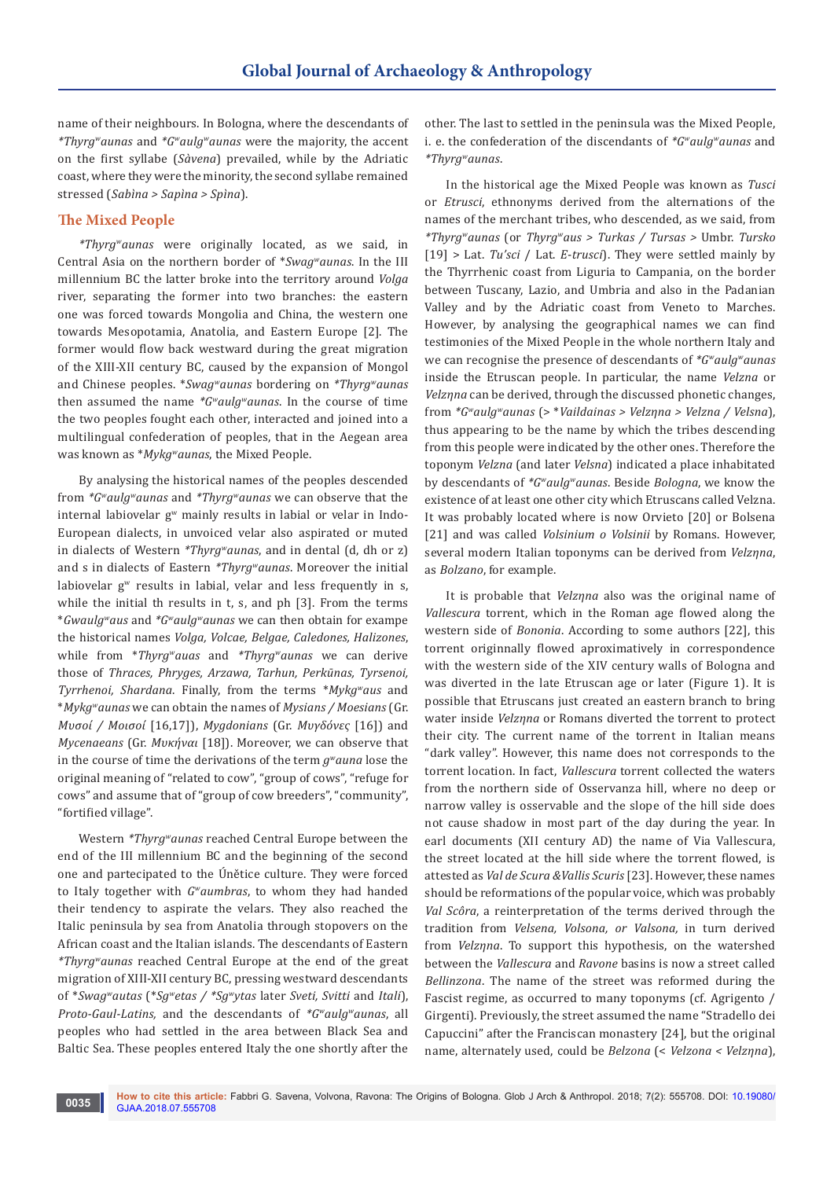name of their neighbours. In Bologna, where the descendants of *\*Thyrgwaunas* and *\*Gwaulgwaunas* were the majority, the accent on the first syllabe (*Sàvena*) prevailed, while by the Adriatic coast, where they were the minority, the second syllabe remained stressed (*Sabìna > Sapìna > Spìna*).

# **The Mixed People**

*\*Thyrgwaunas* were originally located, as we said, in Central Asia on the northern border of \**Swagwaunas*. In the III millennium BC the latter broke into the territory around *Volga* river, separating the former into two branches: the eastern one was forced towards Mongolia and China, the western one towards Mesopotamia, Anatolia, and Eastern Europe [2]. The former would flow back westward during the great migration of the XIII-XII century BC, caused by the expansion of Mongol and Chinese peoples. \**Swagwaunas* bordering on *\*Thyrgwaunas* then assumed the name *\*Gwaulgwaunas*. In the course of time the two peoples fought each other, interacted and joined into a multilingual confederation of peoples, that in the Aegean area was known as \**Mykgwaunas*, the Mixed People.

By analysing the historical names of the peoples descended from *\*Gwaulgwaunas* and *\*Thyrgwaunas* we can observe that the internal labiovelar  $g^w$  mainly results in labial or velar in Indo-European dialects, in unvoiced velar also aspirated or muted in dialects of Western *\*Thyrgwaunas*, and in dental (d, dh or z) and s in dialects of Eastern *\*Thyrgwaunas*. Moreover the initial labiovelar  $g<sup>w</sup>$  results in labial, velar and less frequently in s, while the initial th results in t, s, and ph [3]. From the terms \**Gwaulgwaus* and *\*Gwaulgwaunas* we can then obtain for exampe the historical names *Volga, Volcae, Belgae, Caledones, Halizones*, while from \**Thyrgwauas* and *\*Thyrgwaunas* we can derive those of *Thraces, Phryges, Arzawa, Tarhun, Perkūnas, Tyrsenoi, Tyrrhenoi, Shardana*. Finally, from the terms \**Mykgwaus* and \**Mykgwaunas* we can obtain the names of *Mysians / Moesians* (Gr. *Μυσοί / Μοισοί* [16,17]), *Mygdonians* (Gr. *Μυγδόνες* [16]) and *Mycenaeans* (Gr. *Μυκήναι* [18]). Moreover, we can observe that in the course of time the derivations of the term *gwauna* lose the original meaning of "related to cow", "group of cows", "refuge for cows" and assume that of "group of cow breeders", "community", "fortified village".

Western *\*Thyrgwaunas* reached Central Europe between the end of the III millennium BC and the beginning of the second one and partecipated to the Únětice culture. They were forced to Italy together with *Gwaumbras*, to whom they had handed their tendency to aspirate the velars. They also reached the Italic peninsula by sea from Anatolia through stopovers on the African coast and the Italian islands. The descendants of Eastern *\*Thyrgwaunas* reached Central Europe at the end of the great migration of XIII-XII century BC, pressing westward descendants of \**Swagwautas* (\**Sgwetas / \*Sgwytas* later *Sveti, Svitti* and *Itali*), *Proto-Gaul-Latins,* and the descendants of *\*Gwaulgwaunas*, all peoples who had settled in the area between Black Sea and Baltic Sea. These peoples entered Italy the one shortly after the

other. The last to settled in the peninsula was the Mixed People, i. e. the confederation of the discendants of *\*Gwaulgwaunas* and *\*Thyrgwaunas*.

In the historical age the Mixed People was known as *Tusci* or *Etrusci*, ethnonyms derived from the alternations of the names of the merchant tribes, who descended, as we said, from *\*Thyrgwaunas* (or *Thyrgwaus > Turkas / Tursas >* Umbr. *Tursko* [19] > Lat. *Tu'sci* / Lat. *E*-*trusci*). They were settled mainly by the Thyrrhenic coast from Liguria to Campania, on the border between Tuscany, Lazio, and Umbria and also in the Padanian Valley and by the Adriatic coast from Veneto to Marches. However, by analysing the geographical names we can find testimonies of the Mixed People in the whole northern Italy and we can recognise the presence of descendants of *\*Gwaulgwaunas* inside the Etruscan people. In particular, the name *Velzna* or *Velzηna* can be derived, through the discussed phonetic changes, from *\*Gwaulgwaunas* (> \**Vaildainas > Velzηna > Velzna / Velsna*), thus appearing to be the name by which the tribes descending from this people were indicated by the other ones. Therefore the toponym *Velzna* (and later *Velsna*) indicated a place inhabitated by descendants of *\*Gwaulgwaunas*. Beside *Bologna*, we know the existence of at least one other city which Etruscans called Velzna. It was probably located where is now Orvieto [20] or Bolsena [21] and was called *Volsinium o Volsinii* by Romans. However, several modern Italian toponyms can be derived from *Velzηna*, as *Bolzano*, for example.

It is probable that *Velzηna* also was the original name of *Vallescura* torrent, which in the Roman age flowed along the western side of *Bononia*. According to some authors [22], this torrent originnally flowed aproximatively in correspondence with the western side of the XIV century walls of Bologna and was diverted in the late Etruscan age or later (Figure 1). It is possible that Etruscans just created an eastern branch to bring water inside *Velzηna* or Romans diverted the torrent to protect their city. The current name of the torrent in Italian means "dark valley". However, this name does not corresponds to the torrent location. In fact, *Vallescura* torrent collected the waters from the northern side of Osservanza hill, where no deep or narrow valley is osservable and the slope of the hill side does not cause shadow in most part of the day during the year. In earl documents (XII century AD) the name of Via Vallescura, the street located at the hill side where the torrent flowed, is attested as *Val de Scura &Vallis Scuris* [23]. However, these names should be reformations of the popular voice, which was probably *Val Scôra*, a reinterpretation of the terms derived through the tradition from *Velsena, Volsona, or Valsona,* in turn derived from *Velzηna*. To support this hypothesis, on the watershed between the *Vallescura* and *Ravone* basins is now a street called *Bellinzona*. The name of the street was reformed during the Fascist regime, as occurred to many toponyms (cf. Agrigento / Girgenti). Previously, the street assumed the name "Stradello dei Capuccini" after the Franciscan monastery [24], but the original name, alternately used, could be *Belzona* (< *Velzona < Velzηna*),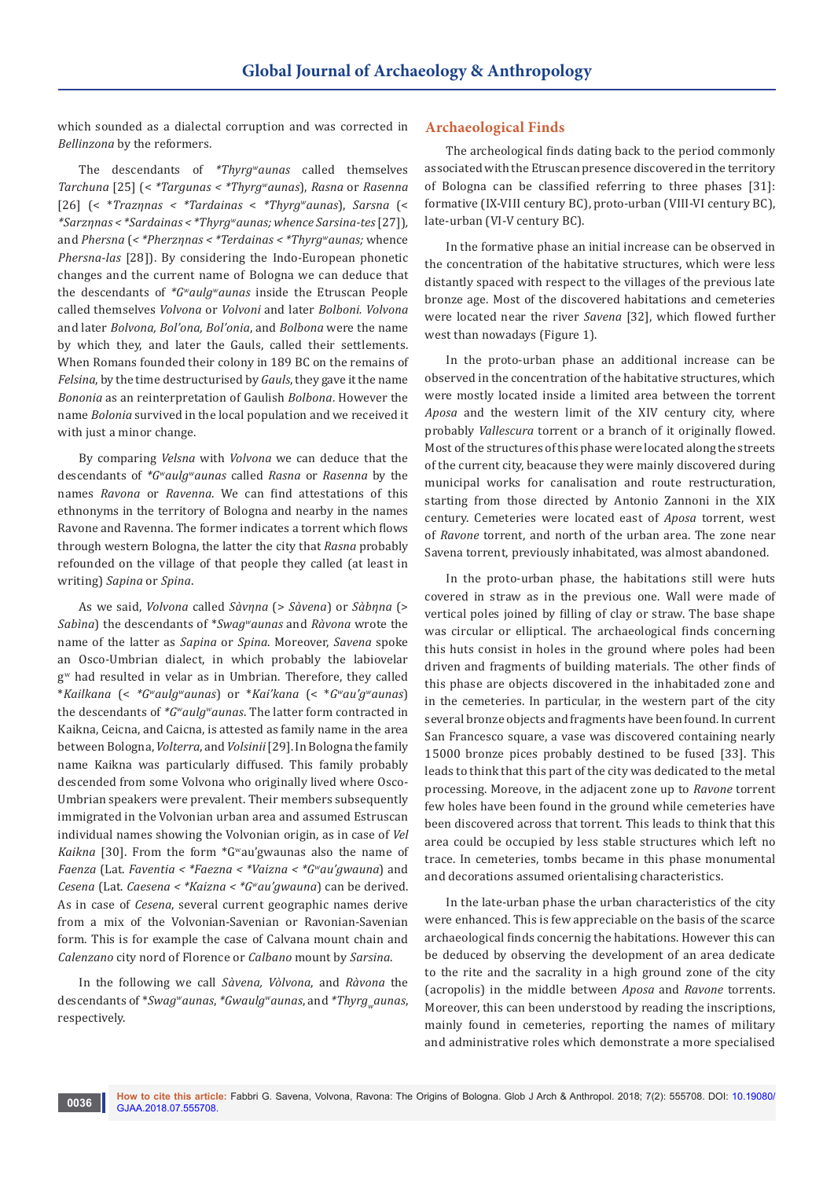which sounded as a dialectal corruption and was corrected in *Bellinzona* by the reformers.

The descendants of *\*Thyrgwaunas* called themselves *Tarchuna* [25] (< *\*Targunas < \*Thyrgwaunas*), *Rasna* or *Rasenna* [26] (< \**Trazηnas < \*Tardainas* < *\*Thyrgwaunas*), *Sarsna* (< *\*Sarzηnas < \*Sardainas < \*Thyrgwaunas; whence Sarsina-tes* [27])*,*  and *Phersna* (*< \*Pherzηnas < \*Terdainas < \*Thyrgwaunas;* whence *Phersna-las* [28]). By considering the Indo-European phonetic changes and the current name of Bologna we can deduce that the descendants of *\*Gwaulgwaunas* inside the Etruscan People called themselves *Volvona* or *Volvoni* and later *Bolboni. Volvona* and later *Bolvona, Bol'ona, Bol'onia*, and *Bolbona* were the name by which they, and later the Gauls, called their settlements. When Romans founded their colony in 189 BC on the remains of *Felsina*, by the time destructurised by *Gauls*, they gave it the name *Bononia* as an reinterpretation of Gaulish *Bolbona*. However the name *Bolonia* survived in the local population and we received it with just a minor change.

By comparing *Velsna* with *Volvona* we can deduce that the descendants of *\*Gwaulgwaunas* called *Rasna* or *Rasenna* by the names *Ravona* or *Ravenna*. We can find attestations of this ethnonyms in the territory of Bologna and nearby in the names Ravone and Ravenna. The former indicates a torrent which flows through western Bologna, the latter the city that *Rasna* probably refounded on the village of that people they called (at least in writing) *Sapina* or *Spina*.

As we said, *Volvona* called *Sàvηna* (> *Sàvena*) or *Sàbηna* (> *Sabìna*) the descendants of \**Swagwaunas* and *Ràvona* wrote the name of the latter as *Sapina* or *Spina*. Moreover, *Savena* spoke an Osco-Umbrian dialect, in which probably the labiovelar gw had resulted in velar as in Umbrian. Therefore, they called \**Kailkana* (< *\*Gwaulgwaunas*) or \**Kai'kana* (< \**Gwau'gwaunas*) the descendants of *\*Gwaulgwaunas*. The latter form contracted in Kaikna, Ceicna, and Caicna, is attested as family name in the area between Bologna, *Volterra*, and *Volsinii* [29]. In Bologna the family name Kaikna was particularly diffused. This family probably descended from some Volvona who originally lived where Osco-Umbrian speakers were prevalent. Their members subsequently immigrated in the Volvonian urban area and assumed Estruscan individual names showing the Volvonian origin, as in case of *Vel Kaikna* [30]. From the form \*Gwau'gwaunas also the name of *Faenza* (Lat. *Faventia < \*Faezna < \*Vaizna < \*Gwau'gwauna*) and *Cesena* (Lat. *Caesena < \*Kaizna < \*Gwau'gwauna*) can be derived. As in case of *Cesena*, several current geographic names derive from a mix of the Volvonian-Savenian or Ravonian-Savenian form. This is for example the case of Calvana mount chain and *Calenzano* city nord of Florence or *Calbano* mount by *Sarsina*.

In the following we call *Sàvena, Vòlvona*, and *Ràvona* the descendants of \**Swag<sup>w</sup>aunas*, \*Gwaulg<sup>w</sup>aunas, and \*Thyrg<sub>w</sub>aunas, respectively.

#### **Archaeological Finds**

The archeological finds dating back to the period commonly associated with the Etruscan presence discovered in the territory of Bologna can be classified referring to three phases [31]: formative (IX-VIII century BC), proto-urban (VIII-VI century BC), late-urban (VI-V century BC).

In the formative phase an initial increase can be observed in the concentration of the habitative structures, which were less distantly spaced with respect to the villages of the previous late bronze age. Most of the discovered habitations and cemeteries were located near the river *Savena* [32], which flowed further west than nowadays (Figure 1).

In the proto-urban phase an additional increase can be observed in the concentration of the habitative structures, which were mostly located inside a limited area between the torrent *Aposa* and the western limit of the XIV century city, where probably *Vallescura* torrent or a branch of it originally flowed. Most of the structures of this phase were located along the streets of the current city, beacause they were mainly discovered during municipal works for canalisation and route restructuration, starting from those directed by Antonio Zannoni in the XIX century. Cemeteries were located east of *Aposa* torrent, west of *Ravone* torrent, and north of the urban area. The zone near Savena torrent, previously inhabitated, was almost abandoned.

In the proto-urban phase, the habitations still were huts covered in straw as in the previous one. Wall were made of vertical poles joined by filling of clay or straw. The base shape was circular or elliptical. The archaeological finds concerning this huts consist in holes in the ground where poles had been driven and fragments of building materials. The other finds of this phase are objects discovered in the inhabitaded zone and in the cemeteries. In particular, in the western part of the city several bronze objects and fragments have been found. In current San Francesco square, a vase was discovered containing nearly 15000 bronze pices probably destined to be fused [33]. This leads to think that this part of the city was dedicated to the metal processing. Moreove, in the adjacent zone up to *Ravone* torrent few holes have been found in the ground while cemeteries have been discovered across that torrent. This leads to think that this area could be occupied by less stable structures which left no trace. In cemeteries, tombs became in this phase monumental and decorations assumed orientalising characteristics.

In the late-urban phase the urban characteristics of the city were enhanced. This is few appreciable on the basis of the scarce archaeological finds concernig the habitations. However this can be deduced by observing the development of an area dedicate to the rite and the sacrality in a high ground zone of the city (acropolis) in the middle between *Aposa* and *Ravone* torrents. Moreover, this can been understood by reading the inscriptions, mainly found in cemeteries, reporting the names of military and administrative roles which demonstrate a more specialised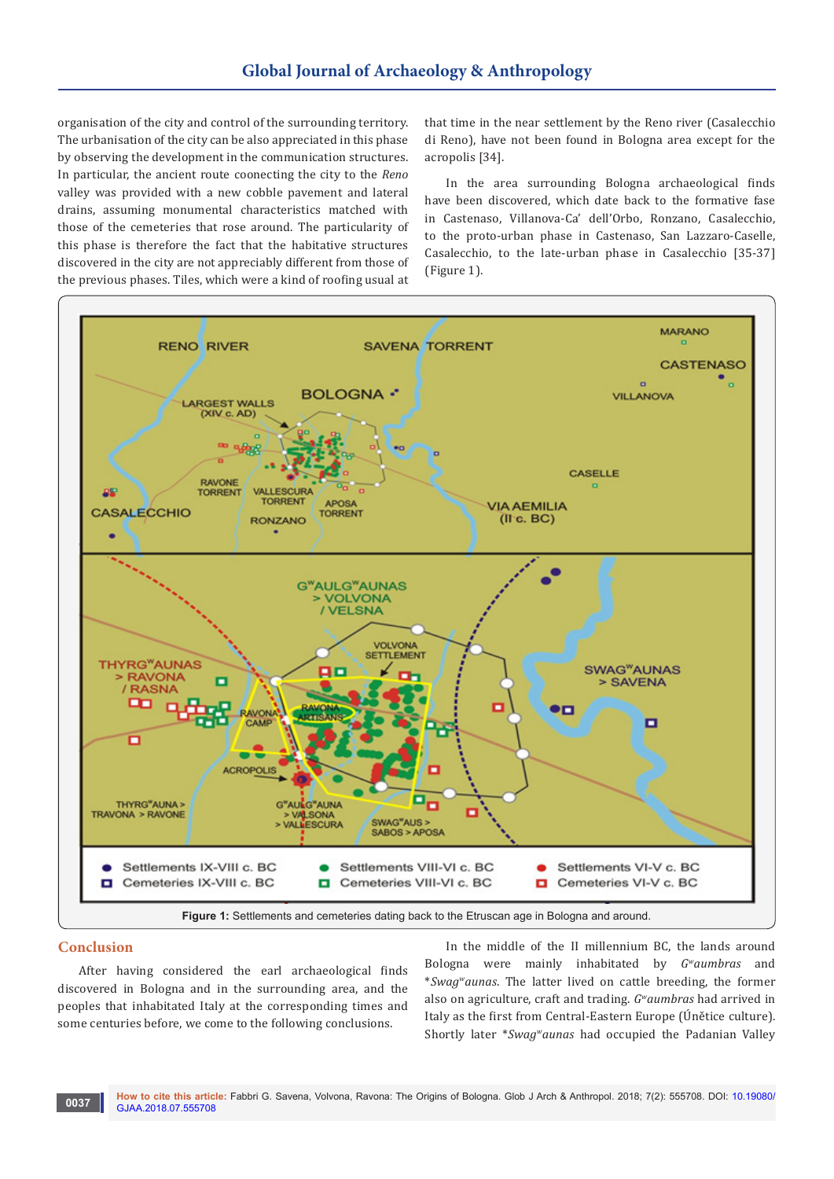organisation of the city and control of the surrounding territory. The urbanisation of the city can be also appreciated in this phase by observing the development in the communication structures. In particular, the ancient route coonecting the city to the *Reno* valley was provided with a new cobble pavement and lateral drains, assuming monumental characteristics matched with those of the cemeteries that rose around. The particularity of this phase is therefore the fact that the habitative structures discovered in the city are not appreciably different from those of the previous phases. Tiles, which were a kind of roofing usual at that time in the near settlement by the Reno river (Casalecchio di Reno), have not been found in Bologna area except for the acropolis [34].

In the area surrounding Bologna archaeological finds have been discovered, which date back to the formative fase in Castenaso, Villanova-Ca' dell'Orbo, Ronzano, Casalecchio, to the proto-urban phase in Castenaso, San Lazzaro-Caselle, Casalecchio, to the late-urban phase in Casalecchio [35-37] (Figure 1).



#### **Conclusion**

**0037**

After having considered the earl archaeological finds discovered in Bologna and in the surrounding area, and the peoples that inhabitated Italy at the corresponding times and some centuries before, we come to the following conclusions.

In the middle of the II millennium BC, the lands around Bologna were mainly inhabitated by *Gwaumbras* and \**Swagwaunas*. The latter lived on cattle breeding, the former also on agriculture, craft and trading. *Gwaumbras* had arrived in Italy as the first from Central-Eastern Europe (Únětice culture). Shortly later \**Swagwaunas* had occupied the Padanian Valley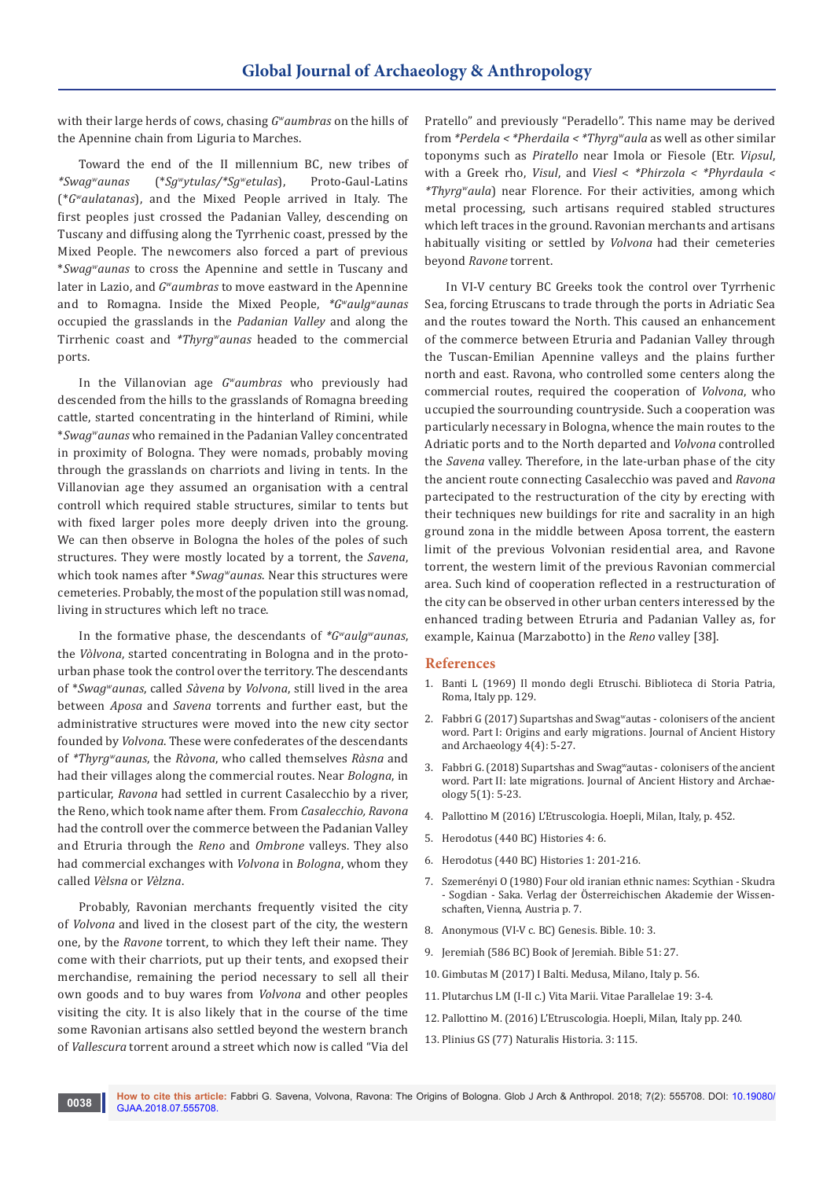with their large herds of cows, chasing *Gwaumbras* on the hills of the Apennine chain from Liguria to Marches.

Toward the end of the II millennium BC, new tribes of  $raa<sup>w</sup>aunas$  (\* $Sq<sup>w</sup>vtulas/*Sq<sup>w</sup>etulas$ ), Proto-Gaul-Latins *\*Swagwaunas* (\**Sgwytulas/\*Sgwetulas*), Proto-Gaul-Latins (\**Gwaulatanas*), and the Mixed People arrived in Italy. The first peoples just crossed the Padanian Valley, descending on Tuscany and diffusing along the Tyrrhenic coast, pressed by the Mixed People. The newcomers also forced a part of previous \**Swagwaunas* to cross the Apennine and settle in Tuscany and later in Lazio, and *Gwaumbras* to move eastward in the Apennine and to Romagna. Inside the Mixed People, *\*Gwaulgwaunas* occupied the grasslands in the *Padanian Valley* and along the Tirrhenic coast and *\*Thyrgwaunas* headed to the commercial ports.

In the Villanovian age *Gwaumbras* who previously had descended from the hills to the grasslands of Romagna breeding cattle, started concentrating in the hinterland of Rimini, while \**Swagwaunas* who remained in the Padanian Valley concentrated in proximity of Bologna. They were nomads, probably moving through the grasslands on charriots and living in tents. In the Villanovian age they assumed an organisation with a central controll which required stable structures, similar to tents but with fixed larger poles more deeply driven into the groung. We can then observe in Bologna the holes of the poles of such structures. They were mostly located by a torrent, the *Savena*, which took names after \**Swagwaunas*. Near this structures were cemeteries. Probably, the most of the population still was nomad, living in structures which left no trace.

In the formative phase, the descendants of *\*Gwaulgwaunas*, the *Vòlvona*, started concentrating in Bologna and in the protourban phase took the control over the territory. The descendants of \**Swagwaunas*, called *Sàvena* by *Volvona*, still lived in the area between *Aposa* and *Savena* torrents and further east, but the administrative structures were moved into the new city sector founded by *Volvona*. These were confederates of the descendants of *\*Thyrgwaunas*, the *Ràvona*, who called themselves *Ràsna* and had their villages along the commercial routes. Near *Bologna*, in particular, *Ravona* had settled in current Casalecchio by a river, the Reno, which took name after them. From *Casalecchio, Ravona*  had the controll over the commerce between the Padanian Valley and Etruria through the *Reno* and *Ombrone* valleys. They also had commercial exchanges with *Volvona* in *Bologna*, whom they called *Vèlsna* or *Vèlzna*.

Probably, Ravonian merchants frequently visited the city of *Volvona* and lived in the closest part of the city, the western one, by the *Ravone* torrent, to which they left their name. They come with their charriots, put up their tents, and exopsed their merchandise, remaining the period necessary to sell all their own goods and to buy wares from *Volvona* and other peoples visiting the city. It is also likely that in the course of the time some Ravonian artisans also settled beyond the western branch of *Vallescura* torrent around a street which now is called "Via del

Pratello" and previously "Peradello". This name may be derived from *\*Perdela < \*Pherdaila < \*Thyrgwaula* as well as other similar toponyms such as *Piratello* near Imola or Fiesole (Etr. *Viρsul*, with a Greek rho, *Visul*, and *Viesl* < *\*Phirzola < \*Phyrdaula < \*Thyrgwaula*) near Florence. For their activities, among which metal processing, such artisans required stabled structures which left traces in the ground. Ravonian merchants and artisans habitually visiting or settled by *Volvona* had their cemeteries beyond *Ravone* torrent.

In VI-V century BC Greeks took the control over Tyrrhenic Sea, forcing Etruscans to trade through the ports in Adriatic Sea and the routes toward the North. This caused an enhancement of the commerce between Etruria and Padanian Valley through the Tuscan-Emilian Apennine valleys and the plains further north and east. Ravona, who controlled some centers along the commercial routes, required the cooperation of *Volvona*, who uccupied the sourrounding countryside. Such a cooperation was particularly necessary in Bologna, whence the main routes to the Adriatic ports and to the North departed and *Volvona* controlled the *Savena* valley. Therefore, in the late-urban phase of the city the ancient route connecting Casalecchio was paved and *Ravona* partecipated to the restructuration of the city by erecting with their techniques new buildings for rite and sacrality in an high ground zona in the middle between Aposa torrent, the eastern limit of the previous Volvonian residential area, and Ravone torrent, the western limit of the previous Ravonian commercial area. Such kind of cooperation reflected in a restructuration of the city can be observed in other urban centers interessed by the enhanced trading between Etruria and Padanian Valley as, for example, Kainua (Marzabotto) in the *Reno* valley [38].

#### **References**

- 1. Banti L (1969) Il mondo degli Etruschi. Biblioteca di Storia Patria, Roma, Italy pp. 129.
- 2. Fabbri G (2017) Supartshas and Swag<sup>w</sup>autas colonisers of the ancient word. Part I: Origins and early migrations. Journal of Ancient History and Archaeology 4(4): 5-27.
- 3. Fabbri G. (2018) Supartshas and Swag<sup>w</sup>autas colonisers of the ancient word. Part II: late migrations. Journal of Ancient History and Archaeology 5(1): 5-23.
- 4. Pallottino M (2016) L'Etruscologia. Hoepli, Milan, Italy, p. 452.
- 5. Herodotus (440 BC) Histories 4: 6.
- 6. Herodotus (440 BC) Histories 1: 201-216.
- 7. Szemerényi O (1980) Four old iranian ethnic names: Scythian Skudra - Sogdian - Saka. Verlag der Österreichischen Akademie der Wissenschaften, Vienna, Austria p. 7.
- 8. Anonymous (VI-V c. BC) Genesis. Bible. 10: 3.
- 9. Jeremiah (586 BC) Book of Jeremiah. Bible 51: 27.
- 10. Gimbutas M (2017) I Balti. Medusa, Milano, Italy p. 56.
- 11. Plutarchus LM (I-II c.) Vita Marii. Vitae Parallelae 19: 3-4.
- 12. Pallottino M. (2016) L'Etruscologia. Hoepli, Milan, Italy pp. 240.
- 13. Plinius GS (77) Naturalis Historia. 3: 115.